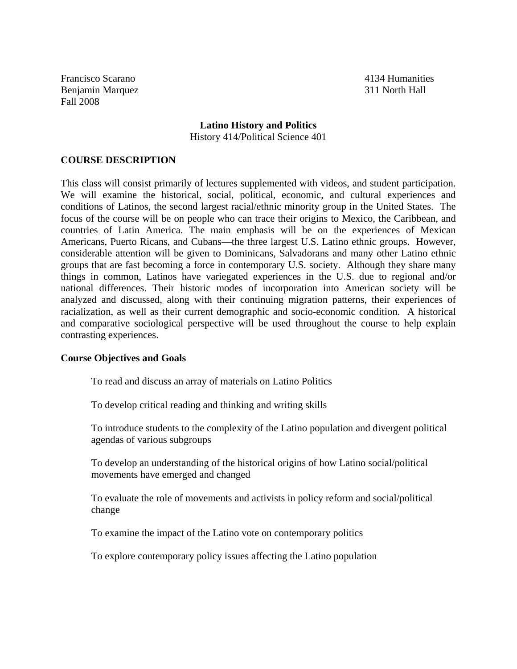Francisco Scarano 4134 Humanities Benjamin Marquez 311 North Hall Fall 2008

# **Latino History and Politics** History 414/Political Science 401

# **COURSE DESCRIPTION**

This class will consist primarily of lectures supplemented with videos, and student participation. We will examine the historical, social, political, economic, and cultural experiences and conditions of Latinos, the second largest racial/ethnic minority group in the United States. The focus of the course will be on people who can trace their origins to Mexico, the Caribbean, and countries of Latin America. The main emphasis will be on the experiences of Mexican Americans, Puerto Ricans, and Cubans—the three largest U.S. Latino ethnic groups. However, considerable attention will be given to Dominicans, Salvadorans and many other Latino ethnic groups that are fast becoming a force in contemporary U.S. society. Although they share many things in common, Latinos have variegated experiences in the U.S. due to regional and/or national differences. Their historic modes of incorporation into American society will be analyzed and discussed, along with their continuing migration patterns, their experiences of racialization, as well as their current demographic and socio-economic condition. A historical and comparative sociological perspective will be used throughout the course to help explain contrasting experiences.

### **Course Objectives and Goals**

To read and discuss an array of materials on Latino Politics

To develop critical reading and thinking and writing skills

To introduce students to the complexity of the Latino population and divergent political agendas of various subgroups

To develop an understanding of the historical origins of how Latino social/political movements have emerged and changed

To evaluate the role of movements and activists in policy reform and social/political change

To examine the impact of the Latino vote on contemporary politics

To explore contemporary policy issues affecting the Latino population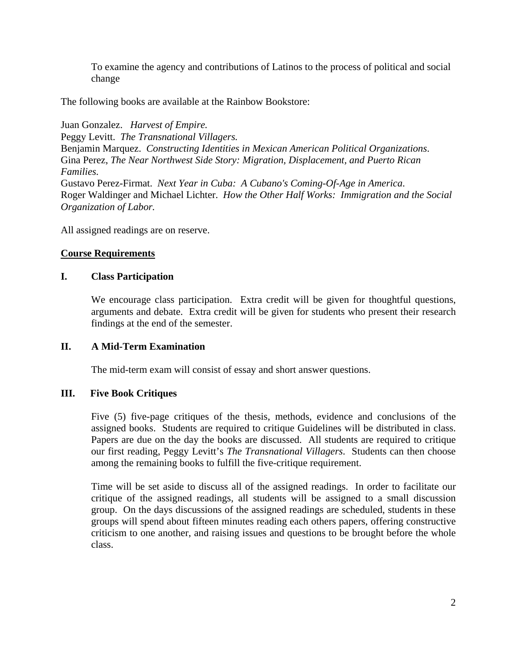To examine the agency and contributions of Latinos to the process of political and social change

The following books are available at the Rainbow Bookstore:

Juan Gonzalez. *Harvest of Empire.* Peggy Levitt. *The Transnational Villagers.* Benjamin Marquez. *Constructing Identities in Mexican American Political Organizations*. Gina Perez, *The Near Northwest Side Story: Migration, Displacement, and Puerto Rican Families.* Gustavo Perez-Firmat. *Next Year in Cuba: A Cubano's Coming-Of-Age in America*. Roger Waldinger and Michael Lichter. *How the Other Half Works: Immigration and the Social Organization of Labor.*

All assigned readings are on reserve.

# **Course Requirements**

# **I. Class Participation**

We encourage class participation. Extra credit will be given for thoughtful questions, arguments and debate. Extra credit will be given for students who present their research findings at the end of the semester.

# **II. A Mid-Term Examination**

The mid-term exam will consist of essay and short answer questions.

# **III. Five Book Critiques**

Five (5) five-page critiques of the thesis, methods, evidence and conclusions of the assigned books. Students are required to critique Guidelines will be distributed in class. Papers are due on the day the books are discussed. All students are required to critique our first reading, Peggy Levitt's *The Transnational Villagers*. Students can then choose among the remaining books to fulfill the five-critique requirement.

Time will be set aside to discuss all of the assigned readings. In order to facilitate our critique of the assigned readings, all students will be assigned to a small discussion group. On the days discussions of the assigned readings are scheduled, students in these groups will spend about fifteen minutes reading each others papers, offering constructive criticism to one another, and raising issues and questions to be brought before the whole class.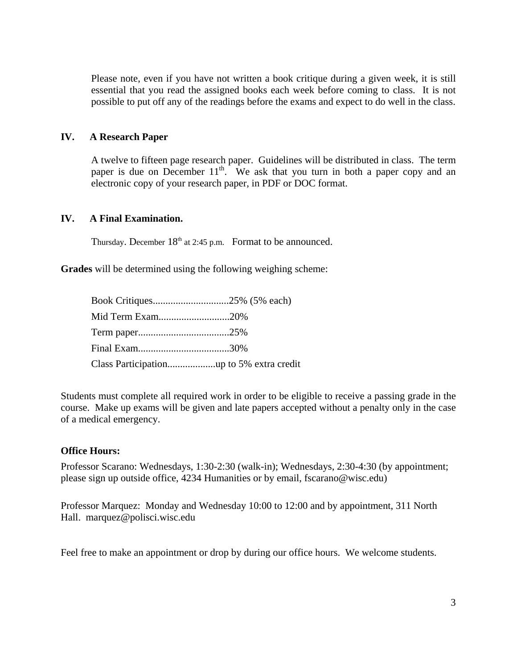Please note, even if you have not written a book critique during a given week, it is still essential that you read the assigned books each week before coming to class. It is not possible to put off any of the readings before the exams and expect to do well in the class.

# **IV. A Research Paper**

A twelve to fifteen page research paper. Guidelines will be distributed in class. The term paper is due on December  $11<sup>th</sup>$ . We ask that you turn in both a paper copy and an electronic copy of your research paper, in PDF or DOC format.

# **IV. A Final Examination.**

Thursday. December  $18<sup>th</sup>$  at 2:45 p.m. Format to be announced.

**Grades** will be determined using the following weighing scheme:

| Mid Term Exam20% |  |
|------------------|--|
|                  |  |
|                  |  |
|                  |  |

Students must complete all required work in order to be eligible to receive a passing grade in the course. Make up exams will be given and late papers accepted without a penalty only in the case of a medical emergency.

### **Office Hours:**

Professor Scarano: Wednesdays, 1:30-2:30 (walk-in); Wednesdays, 2:30-4:30 (by appointment; please sign up outside office, 4234 Humanities or by email, fscarano@wisc.edu)

Professor Marquez: Monday and Wednesday 10:00 to 12:00 and by appointment, 311 North Hall. marquez@polisci.wisc.edu

Feel free to make an appointment or drop by during our office hours. We welcome students.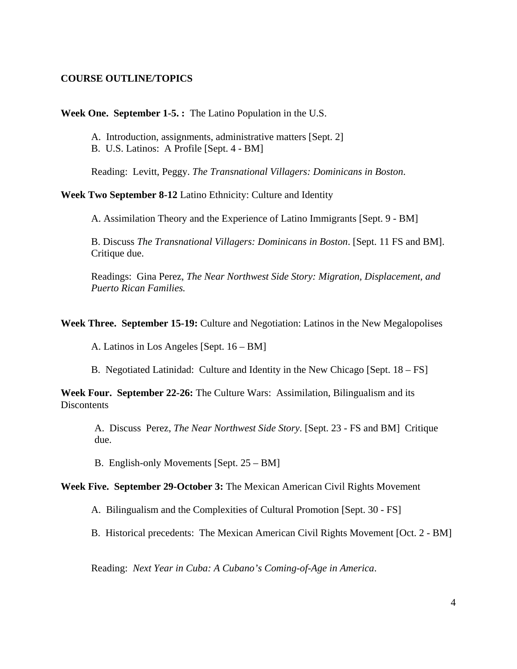# **COURSE OUTLINE/TOPICS**

### **Week One. September 1-5. :** The Latino Population in the U.S.

A. Introduction, assignments, administrative matters [Sept. 2]

B. U.S. Latinos: A Profile [Sept. 4 - BM]

Reading: Levitt, Peggy. *The Transnational Villagers: Dominicans in Boston*.

### **Week Two September 8-12** Latino Ethnicity: Culture and Identity

A. Assimilation Theory and the Experience of Latino Immigrants [Sept. 9 - BM]

 B. Discuss *The Transnational Villagers: Dominicans in Boston*. [Sept. 11 FS and BM]. Critique due.

Readings: Gina Perez, *The Near Northwest Side Story: Migration, Displacement, and Puerto Rican Families.*

**Week Three. September 15-19:** Culture and Negotiation: Latinos in the New Megalopolises

A. Latinos in Los Angeles [Sept. 16 – BM]

B. Negotiated Latinidad: Culture and Identity in the New Chicago [Sept. 18 – FS]

**Week Four. September 22-26:** The Culture Wars: Assimilation, Bilingualism and its **Discontents** 

A. Discuss Perez, *The Near Northwest Side Story.* [Sept. 23 - FS and BM] Critique due.

B. English-only Movements [Sept. 25 – BM]

### **Week Five. September 29-October 3:** The Mexican American Civil Rights Movement

A. Bilingualism and the Complexities of Cultural Promotion [Sept. 30 - FS]

B. Historical precedents: The Mexican American Civil Rights Movement [Oct. 2 - BM]

Reading: *Next Year in Cuba: A Cubano's Coming-of-Age in America*.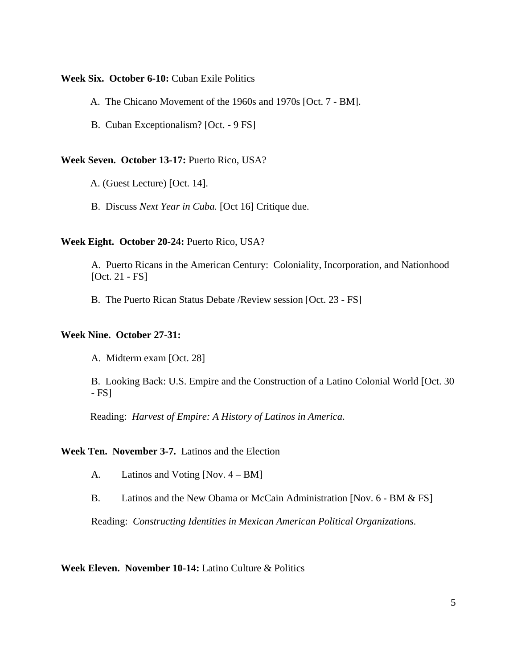#### **Week Six. October 6-10:** Cuban Exile Politics

- A. The Chicano Movement of the 1960s and 1970s [Oct. 7 BM].
- B. Cuban Exceptionalism? [Oct. 9 FS]

### **Week Seven. October 13-17:** Puerto Rico, USA?

- A. (Guest Lecture) [Oct. 14].
- B. Discuss *Next Year in Cuba.* [Oct 16] Critique due.

### **Week Eight. October 20-24:** Puerto Rico, USA?

 A. Puerto Ricans in the American Century: Coloniality, Incorporation, and Nationhood [Oct. 21 - FS]

B. The Puerto Rican Status Debate /Review session [Oct. 23 - FS]

### **Week Nine. October 27-31:**

A. Midterm exam [Oct. 28]

 B. Looking Back: U.S. Empire and the Construction of a Latino Colonial World [Oct. 30 - FS]

Reading: *Harvest of Empire: A History of Latinos in America*.

### **Week Ten. November 3-7.** Latinos and the Election

A. Latinos and Voting [Nov. 4 – BM]

B. Latinos and the New Obama or McCain Administration [Nov. 6 - BM & FS]

Reading: *Constructing Identities in Mexican American Political Organizations*.

**Week Eleven. November 10-14:** Latino Culture & Politics